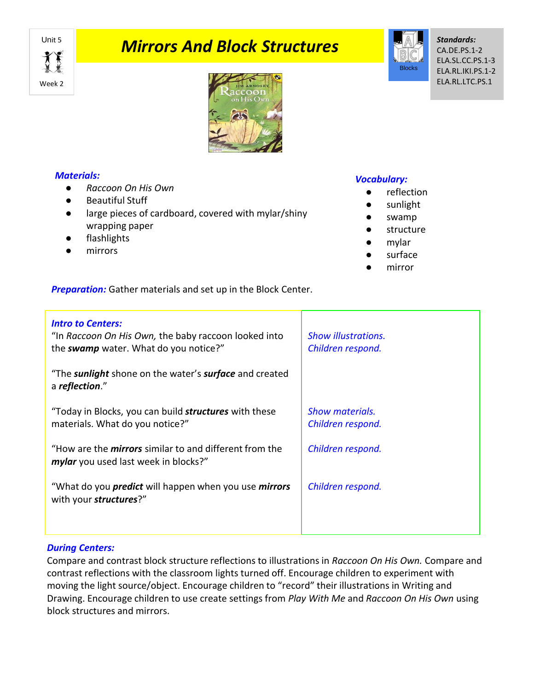Week 2

# **Mirrors And Block Structures**



*Standards:* CA.DE.PS.1-2 ELA.SL.CC.PS.1-3 ELA.RL.IKI.PS.1-2 ELA.RL.LTC.PS.1



## *Materials:*

- *Raccoon On His Own*
- Beautiful Stuff
- large pieces of cardboard, covered with mylar/shiny wrapping paper
- flashlights
- mirrors

#### *Vocabulary:*

- reflection
- sunlight
- swamp
- structure
- mylar
- surface
- mirror

*Preparation:* Gather materials and set up in the Block Center.

| <b>Intro to Centers:</b><br>"In Raccoon On His Own, the baby raccoon looked into<br>the swamp water. What do you notice?" | <b>Show illustrations.</b><br>Children respond. |
|---------------------------------------------------------------------------------------------------------------------------|-------------------------------------------------|
| "The sunlight shone on the water's surface and created<br>a reflection."                                                  |                                                 |
| "Today in Blocks, you can build <b>structures</b> with these<br>materials. What do you notice?"                           | <b>Show materials.</b><br>Children respond.     |
| "How are the <i>mirrors</i> similar to and different from the<br>mylar you used last week in blocks?"                     | Children respond.                               |
| "What do you <i>predict</i> will happen when you use <i>mirrors</i><br>with your structures?"                             | Children respond.                               |
|                                                                                                                           |                                                 |

# *During Centers:*

Compare and contrast block structure reflections to illustrations in *Raccoon On His Own.* Compare and contrast reflections with the classroom lights turned off. Encourage children to experiment with moving the light source/object. Encourage children to "record" their illustrations in Writing and Drawing. Encourage children to use create settings from *Play With Me* and *Raccoon On His Own* using block structures and mirrors.